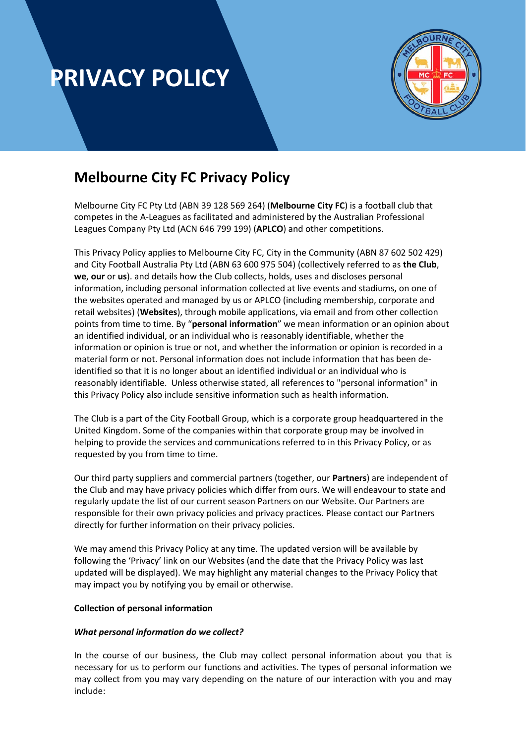

### **Melbourne City FC Privacy Policy**

Melbourne City FC Pty Ltd (ABN 39 128 569 264) (**Melbourne City FC**) is a football club that competes in the A-Leagues as facilitated and administered by the Australian Professional Leagues Company Pty Ltd (ACN 646 799 199) (**APLCO**) and other competitions.

This Privacy Policy applies to Melbourne City FC, City in the Community (ABN 87 602 502 429) and City Football Australia Pty Ltd (ABN 63 600 975 504) (collectively referred to as **the Club**, **we**, **our** or **us**). and details how the Club collects, holds, uses and discloses personal information, including personal information collected at live events and stadiums, on one of the websites operated and managed by us or APLCO (including membership, corporate and retail websites) (**Websites**), through mobile applications, via email and from other collection points from time to time. By "**personal information**" we mean information or an opinion about an identified individual, or an individual who is reasonably identifiable, whether the information or opinion is true or not, and whether the information or opinion is recorded in a material form or not. Personal information does not include information that has been deidentified so that it is no longer about an identified individual or an individual who is reasonably identifiable. Unless otherwise stated, all references to "personal information" in this Privacy Policy also include sensitive information such as health information.

The Club is a part of the City Football Group, which is a corporate group headquartered in the United Kingdom. Some of the companies within that corporate group may be involved in helping to provide the services and communications referred to in this Privacy Policy, or as requested by you from time to time.

Our third party suppliers and commercial partners (together, our **Partners**) are independent of the Club and may have privacy policies which differ from ours. We will endeavour to state and regularly update the list of our current season Partners on our Website. Our Partners are responsible for their own privacy policies and privacy practices. Please contact our Partners directly for further information on their privacy policies.

We may amend this Privacy Policy at any time. The updated version will be available by following the 'Privacy' link on our Websites (and the date that the Privacy Policy was last updated will be displayed). We may highlight any material changes to the Privacy Policy that may impact you by notifying you by email or otherwise.

#### **Collection of personal information**

#### *What personal information do we collect?*

In the course of our business, the Club may collect personal information about you that is necessary for us to perform our functions and activities. The types of personal information we may collect from you may vary depending on the nature of our interaction with you and may include: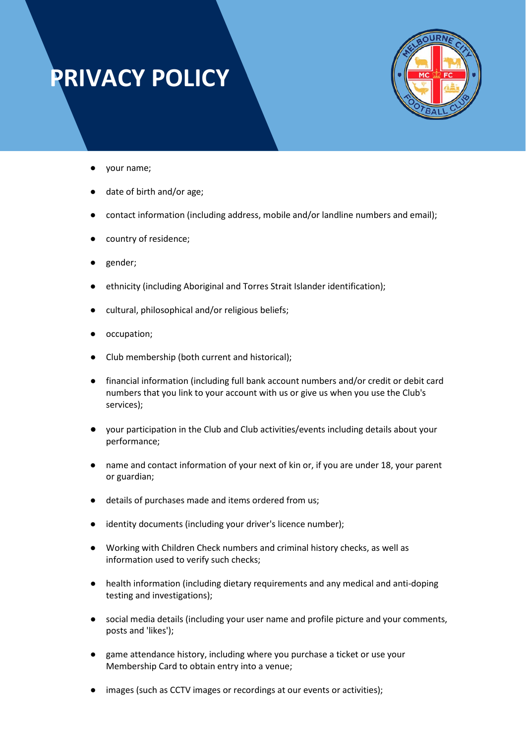

- your name;
- date of birth and/or age;
- contact information (including address, mobile and/or landline numbers and email);
- country of residence;
- gender;
- ethnicity (including Aboriginal and Torres Strait Islander identification);
- cultural, philosophical and/or religious beliefs;
- occupation;
- Club membership (both current and historical);
- financial information (including full bank account numbers and/or credit or debit card numbers that you link to your account with us or give us when you use the Club's services);
- your participation in the Club and Club activities/events including details about your performance;
- name and contact information of your next of kin or, if you are under 18, your parent or guardian;
- details of purchases made and items ordered from us;
- identity documents (including your driver's licence number);
- Working with Children Check numbers and criminal history checks, as well as information used to verify such checks;
- health information (including dietary requirements and any medical and anti-doping testing and investigations);
- social media details (including your user name and profile picture and your comments, posts and 'likes');
- game attendance history, including where you purchase a ticket or use your Membership Card to obtain entry into a venue;
- images (such as CCTV images or recordings at our events or activities);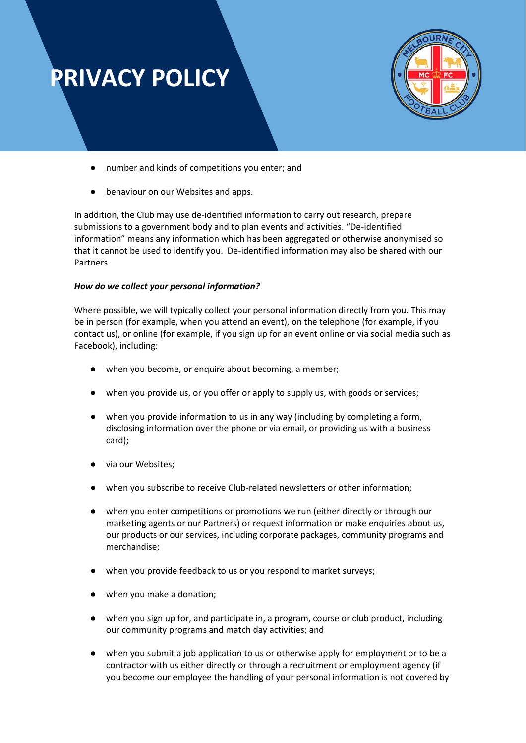

- number and kinds of competitions you enter; and
- behaviour on our Websites and apps.

In addition, the Club may use de-identified information to carry out research, prepare submissions to a government body and to plan events and activities. "De-identified information" means any information which has been aggregated or otherwise anonymised so that it cannot be used to identify you. De-identified information may also be shared with our Partners.

#### *How do we collect your personal information?*

Where possible, we will typically collect your personal information directly from you. This may be in person (for example, when you attend an event), on the telephone (for example, if you contact us), or online (for example, if you sign up for an event online or via social media such as Facebook), including:

- when you become, or enquire about becoming, a member;
- when you provide us, or you offer or apply to supply us, with goods or services;
- when you provide information to us in any way (including by completing a form, disclosing information over the phone or via email, or providing us with a business card);
- via our Websites;
- when you subscribe to receive Club-related newsletters or other information;
- when you enter competitions or promotions we run (either directly or through our marketing agents or our Partners) or request information or make enquiries about us, our products or our services, including corporate packages, community programs and merchandise;
- when you provide feedback to us or you respond to market surveys;
- when you make a donation;
- when you sign up for, and participate in, a program, course or club product, including our community programs and match day activities; and
- when you submit a job application to us or otherwise apply for employment or to be a contractor with us either directly or through a recruitment or employment agency (if you become our employee the handling of your personal information is not covered by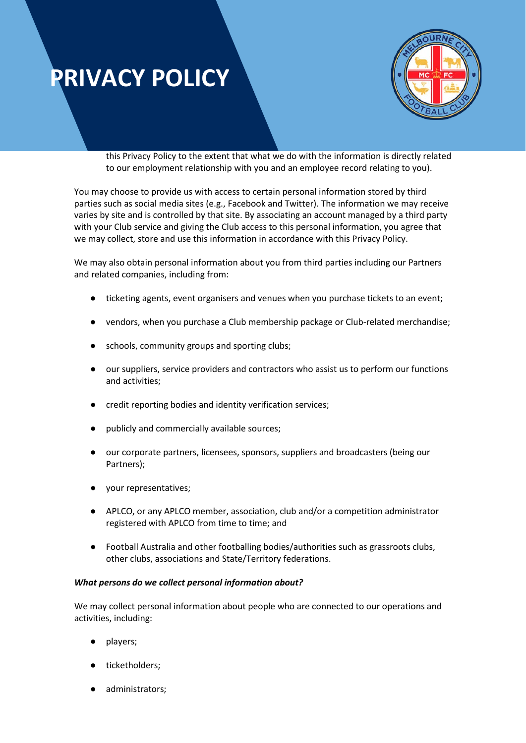

this Privacy Policy to the extent that what we do with the information is directly related to our employment relationship with you and an employee record relating to you).

You may choose to provide us with access to certain personal information stored by third parties such as social media sites (e.g., Facebook and Twitter). The information we may receive varies by site and is controlled by that site. By associating an account managed by a third party with your Club service and giving the Club access to this personal information, you agree that we may collect, store and use this information in accordance with this Privacy Policy.

We may also obtain personal information about you from third parties including our Partners and related companies, including from:

- ticketing agents, event organisers and venues when you purchase tickets to an event;
- vendors, when you purchase a Club membership package or Club-related merchandise;
- schools, community groups and sporting clubs;
- our suppliers, service providers and contractors who assist us to perform our functions and activities;
- credit reporting bodies and identity verification services;
- publicly and commercially available sources;
- our corporate partners, licensees, sponsors, suppliers and broadcasters (being our Partners);
- your representatives;
- APLCO, or any APLCO member, association, club and/or a competition administrator registered with APLCO from time to time; and
- Football Australia and other footballing bodies/authorities such as grassroots clubs, other clubs, associations and State/Territory federations.

#### *What persons do we collect personal information about?*

We may collect personal information about people who are connected to our operations and activities, including:

- players;
- ticketholders;
- administrators;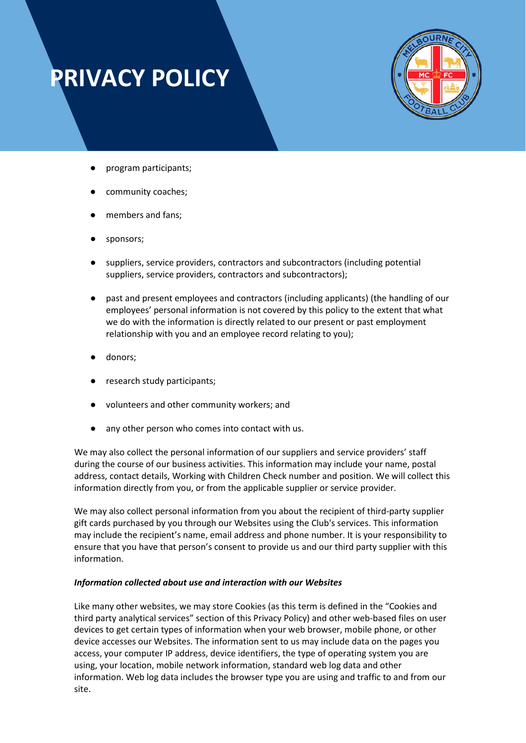

- program participants;
- community coaches;
- members and fans;
- sponsors;
- suppliers, service providers, contractors and subcontractors (including potential suppliers, service providers, contractors and subcontractors);
- past and present employees and contractors (including applicants) (the handling of our employees' personal information is not covered by this policy to the extent that what we do with the information is directly related to our present or past employment relationship with you and an employee record relating to you);
- donors;
- research study participants;
- volunteers and other community workers; and
- any other person who comes into contact with us.

We may also collect the personal information of our suppliers and service providers' staff during the course of our business activities. This information may include your name, postal address, contact details, Working with Children Check number and position. We will collect this information directly from you, or from the applicable supplier or service provider.

We may also collect personal information from you about the recipient of third-party supplier gift cards purchased by you through our Websites using the Club's services. This information may include the recipient's name, email address and phone number. It is your responsibility to ensure that you have that person's consent to provide us and our third party supplier with this information.

#### *Information collected about use and interaction with our Websites*

Like many other websites, we may store Cookies (as this term is defined in the "Cookies and third party analytical services" section of this Privacy Policy) and other web-based files on user devices to get certain types of information when your web browser, mobile phone, or other device accesses our Websites. The information sent to us may include data on the pages you access, your computer IP address, device identifiers, the type of operating system you are using, your location, mobile network information, standard web log data and other information. Web log data includes the browser type you are using and traffic to and from our site.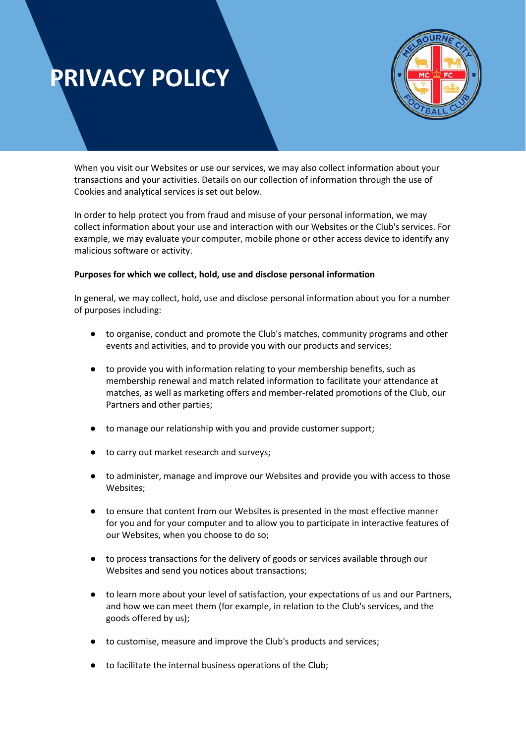

When you visit our Websites or use our services, we may also collect information about your transactions and your activities. Details on our collection of information through the use of Cookies and analytical services is set out below.

In order to help protect you from fraud and misuse of your personal information, we may collect information about your use and interaction with our Websites or the Club's services. For example, we may evaluate your computer, mobile phone or other access device to identify any malicious software or activity.

#### **Purposes for which we collect, hold, use and disclose personal information**

In general, we may collect, hold, use and disclose personal information about you for a number of purposes including:

- to organise, conduct and promote the Club's matches, community programs and other events and activities, and to provide you with our products and services;
- to provide you with information relating to your membership benefits, such as membership renewal and match related information to facilitate your attendance at matches, as well as marketing offers and member-related promotions of the Club, our Partners and other parties;
- to manage our relationship with you and provide customer support;
- to carry out market research and surveys;
- to administer, manage and improve our Websites and provide you with access to those Websites;
- to ensure that content from our Websites is presented in the most effective manner for you and for your computer and to allow you to participate in interactive features of our Websites, when you choose to do so;
- to process transactions for the delivery of goods or services available through our Websites and send you notices about transactions;
- to learn more about your level of satisfaction, your expectations of us and our Partners, and how we can meet them (for example, in relation to the Club's services, and the goods offered by us);
- to customise, measure and improve the Club's products and services;
- to facilitate the internal business operations of the Club;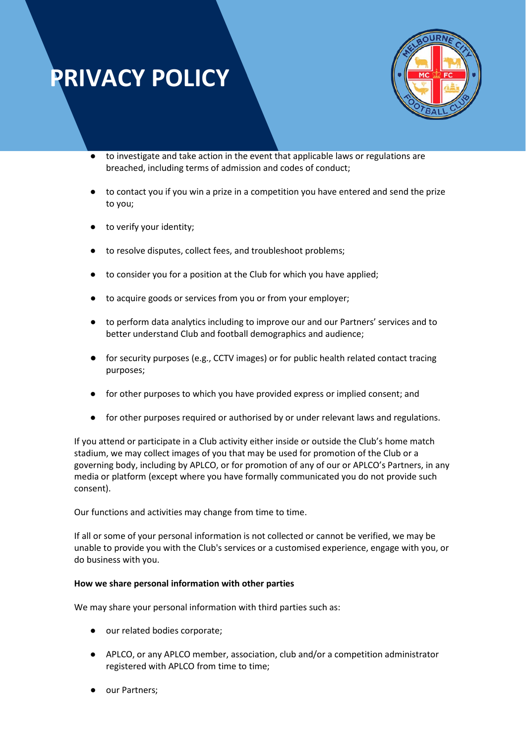

- to investigate and take action in the event that applicable laws or regulations are breached, including terms of admission and codes of conduct;
- to contact you if you win a prize in a competition you have entered and send the prize to you;
- to verify your identity;
- to resolve disputes, collect fees, and troubleshoot problems;
- to consider you for a position at the Club for which you have applied;
- to acquire goods or services from you or from your employer;
- to perform data analytics including to improve our and our Partners' services and to better understand Club and football demographics and audience;
- for security purposes (e.g., CCTV images) or for public health related contact tracing purposes;
- for other purposes to which you have provided express or implied consent; and
- for other purposes required or authorised by or under relevant laws and regulations.

If you attend or participate in a Club activity either inside or outside the Club's home match stadium, we may collect images of you that may be used for promotion of the Club or a governing body, including by APLCO, or for promotion of any of our or APLCO's Partners, in any media or platform (except where you have formally communicated you do not provide such consent).

Our functions and activities may change from time to time.

If all or some of your personal information is not collected or cannot be verified, we may be unable to provide you with the Club's services or a customised experience, engage with you, or do business with you.

#### **How we share personal information with other parties**

We may share your personal information with third parties such as:

- our related bodies corporate;
- APLCO, or any APLCO member, association, club and/or a competition administrator registered with APLCO from time to time;
- our Partners;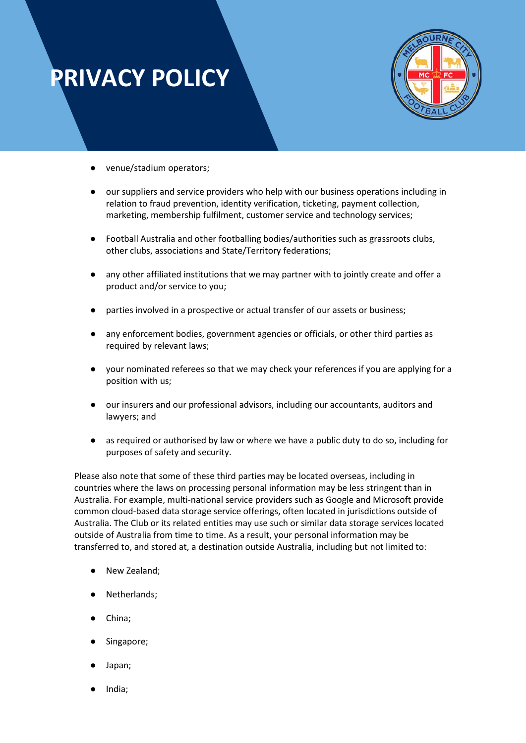

- venue/stadium operators;
- our suppliers and service providers who help with our business operations including in relation to fraud prevention, identity verification, ticketing, payment collection, marketing, membership fulfilment, customer service and technology services;
- Football Australia and other footballing bodies/authorities such as grassroots clubs, other clubs, associations and State/Territory federations;
- any other affiliated institutions that we may partner with to jointly create and offer a product and/or service to you;
- parties involved in a prospective or actual transfer of our assets or business;
- any enforcement bodies, government agencies or officials, or other third parties as required by relevant laws;
- your nominated referees so that we may check your references if you are applying for a position with us;
- our insurers and our professional advisors, including our accountants, auditors and lawyers; and
- as required or authorised by law or where we have a public duty to do so, including for purposes of safety and security.

Please also note that some of these third parties may be located overseas, including in countries where the laws on processing personal information may be less stringent than in Australia. For example, multi-national service providers such as Google and Microsoft provide common cloud-based data storage service offerings, often located in jurisdictions outside of Australia. The Club or its related entities may use such or similar data storage services located outside of Australia from time to time. As a result, your personal information may be transferred to, and stored at, a destination outside Australia, including but not limited to:

- New Zealand;
- Netherlands;
- China;
- Singapore;
- Japan;
- India;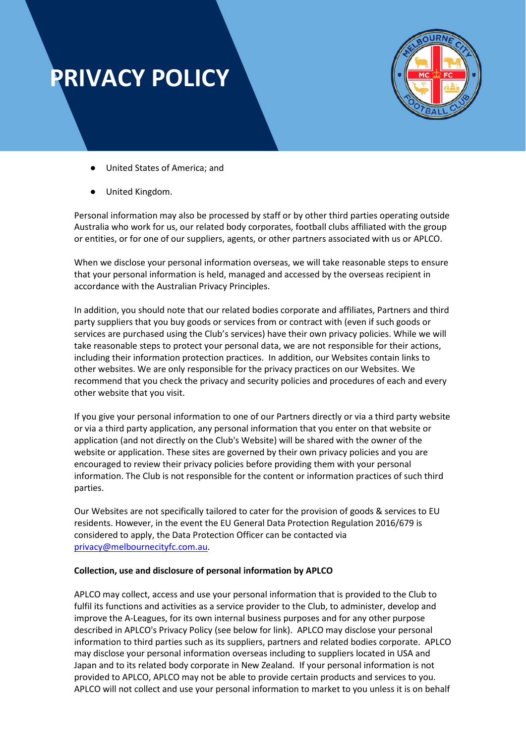

- United States of America; and
- United Kingdom.

Personal information may also be processed by staff or by other third parties operating outside Australia who work for us, our related body corporates, football clubs affiliated with the group or entities, or for one of our suppliers, agents, or other partners associated with us or APLCO.

When we disclose your personal information overseas, we will take reasonable steps to ensure that your personal information is held, managed and accessed by the overseas recipient in accordance with the Australian Privacy Principles.

In addition, you should note that our related bodies corporate and affiliates, Partners and third party suppliers that you buy goods or services from or contract with (even if such goods or services are purchased using the Club's services) have their own privacy policies. While we will take reasonable steps to protect your personal data, we are not responsible for their actions, including their information protection practices. In addition, our Websites contain links to other websites. We are only responsible for the privacy practices on our Websites. We recommend that you check the privacy and security policies and procedures of each and every other website that you visit.

If you give your personal information to one of our Partners directly or via a third party website or via a third party application, any personal information that you enter on that website or application (and not directly on the Club's Website) will be shared with the owner of the website or application. These sites are governed by their own privacy policies and you are encouraged to review their privacy policies before providing them with your personal information. The Club is not responsible for the content or information practices of such third parties.

Our Websites are not specifically tailored to cater for the provision of goods & services to EU residents. However, in the event the EU General Data Protection Regulation 2016/679 is considered to apply, the Data Protection Officer can be contacted via [privacy@melbournecityfc.com.au.](mailto:privacy@melbournecityfc.com.au)

#### **Collection, use and disclosure of personal information by APLCO**

APLCO may collect, access and use your personal information that is provided to the Club to fulfil its functions and activities as a service provider to the Club, to administer, develop and improve the A-Leagues, for its own internal business purposes and for any other purpose described in APLCO's Privacy Policy (see below for link). APLCO may disclose your personal information to third parties such as its suppliers, partners and related bodies corporate. APLCO may disclose your personal information overseas including to suppliers located in USA and Japan and to its related body corporate in New Zealand. If your personal information is not provided to APLCO, APLCO may not be able to provide certain products and services to you. APLCO will not collect and use your personal information to market to you unless it is on behalf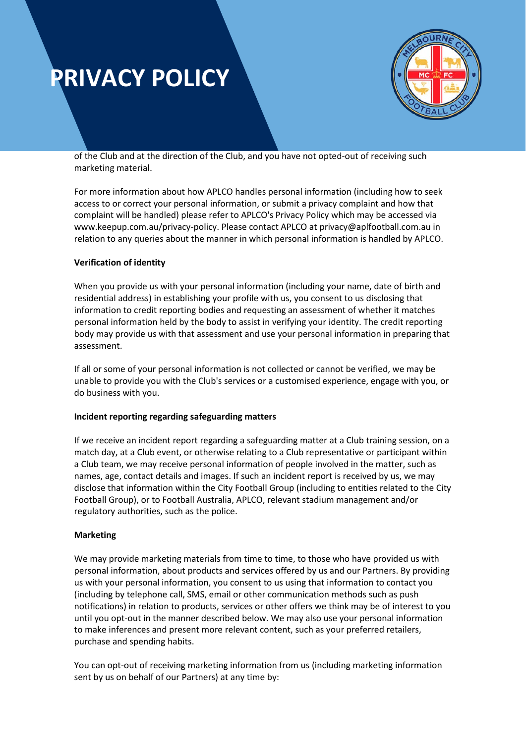

of the Club and at the direction of the Club, and you have not opted-out of receiving such marketing material.

For more information about how APLCO handles personal information (including how to seek access to or correct your personal information, or submit a privacy complaint and how that complaint will be handled) please refer to APLCO's Privacy Policy which may be accessed via www.keepup.com.au/privacy-policy. Please contact APLCO at privacy@aplfootball.com.au in relation to any queries about the manner in which personal information is handled by APLCO.

#### **Verification of identity**

When you provide us with your personal information (including your name, date of birth and residential address) in establishing your profile with us, you consent to us disclosing that information to credit reporting bodies and requesting an assessment of whether it matches personal information held by the body to assist in verifying your identity. The credit reporting body may provide us with that assessment and use your personal information in preparing that assessment.

If all or some of your personal information is not collected or cannot be verified, we may be unable to provide you with the Club's services or a customised experience, engage with you, or do business with you.

#### **Incident reporting regarding safeguarding matters**

If we receive an incident report regarding a safeguarding matter at a Club training session, on a match day, at a Club event, or otherwise relating to a Club representative or participant within a Club team, we may receive personal information of people involved in the matter, such as names, age, contact details and images. If such an incident report is received by us, we may disclose that information within the City Football Group (including to entities related to the City Football Group), or to Football Australia, APLCO, relevant stadium management and/or regulatory authorities, such as the police.

#### **Marketing**

We may provide marketing materials from time to time, to those who have provided us with personal information, about products and services offered by us and our Partners. By providing us with your personal information, you consent to us using that information to contact you (including by telephone call, SMS, email or other communication methods such as push notifications) in relation to products, services or other offers we think may be of interest to you until you opt-out in the manner described below. We may also use your personal information to make inferences and present more relevant content, such as your preferred retailers, purchase and spending habits.

You can opt-out of receiving marketing information from us (including marketing information sent by us on behalf of our Partners) at any time by: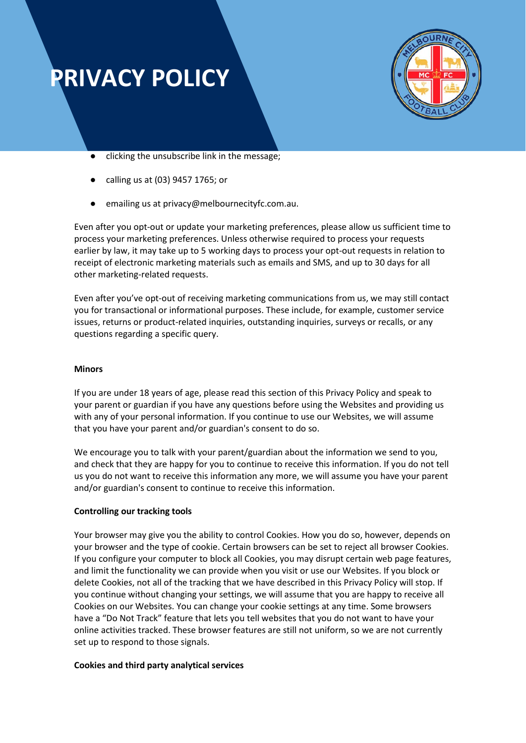

- clicking the unsubscribe link in the message;
- calling us at (03) 9457 1765; or
- emailing us at privacy@melbournecityfc.com.au.

Even after you opt-out or update your marketing preferences, please allow us sufficient time to process your marketing preferences. Unless otherwise required to process your requests earlier by law, it may take up to 5 working days to process your opt-out requests in relation to receipt of electronic marketing materials such as emails and SMS, and up to 30 days for all other marketing-related requests.

Even after you've opt-out of receiving marketing communications from us, we may still contact you for transactional or informational purposes. These include, for example, customer service issues, returns or product-related inquiries, outstanding inquiries, surveys or recalls, or any questions regarding a specific query.

#### **Minors**

If you are under 18 years of age, please read this section of this Privacy Policy and speak to your parent or guardian if you have any questions before using the Websites and providing us with any of your personal information. If you continue to use our Websites, we will assume that you have your parent and/or guardian's consent to do so.

We encourage you to talk with your parent/guardian about the information we send to you, and check that they are happy for you to continue to receive this information. If you do not tell us you do not want to receive this information any more, we will assume you have your parent and/or guardian's consent to continue to receive this information.

#### **Controlling our tracking tools**

Your browser may give you the ability to control Cookies. How you do so, however, depends on your browser and the type of cookie. Certain browsers can be set to reject all browser Cookies. If you configure your computer to block all Cookies, you may disrupt certain web page features, and limit the functionality we can provide when you visit or use our Websites. If you block or delete Cookies, not all of the tracking that we have described in this Privacy Policy will stop. If you continue without changing your settings, we will assume that you are happy to receive all Cookies on our Websites. You can change your cookie settings at any time. Some browsers have a "Do Not Track" feature that lets you tell websites that you do not want to have your online activities tracked. These browser features are still not uniform, so we are not currently set up to respond to those signals.

#### **Cookies and third party analytical services**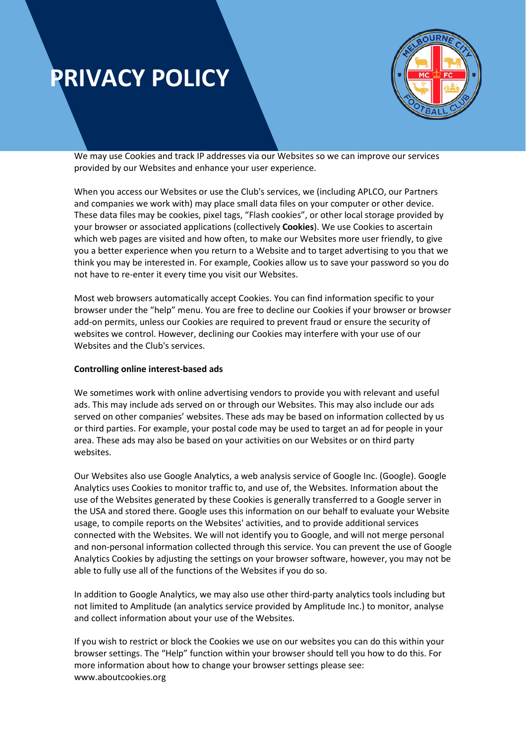

We may use Cookies and track IP addresses via our Websites so we can improve our services provided by our Websites and enhance your user experience.

When you access our Websites or use the Club's services, we (including APLCO, our Partners and companies we work with) may place small data files on your computer or other device. These data files may be cookies, pixel tags, "Flash cookies", or other local storage provided by your browser or associated applications (collectively **Cookies**). We use Cookies to ascertain which web pages are visited and how often, to make our Websites more user friendly, to give you a better experience when you return to a Website and to target advertising to you that we think you may be interested in. For example, Cookies allow us to save your password so you do not have to re-enter it every time you visit our Websites.

Most web browsers automatically accept Cookies. You can find information specific to your browser under the "help" menu. You are free to decline our Cookies if your browser or browser add-on permits, unless our Cookies are required to prevent fraud or ensure the security of websites we control. However, declining our Cookies may interfere with your use of our Websites and the Club's services.

#### **Controlling online interest-based ads**

We sometimes work with online advertising vendors to provide you with relevant and useful ads. This may include ads served on or through our Websites. This may also include our ads served on other companies' websites. These ads may be based on information collected by us or third parties. For example, your postal code may be used to target an ad for people in your area. These ads may also be based on your activities on our Websites or on third party websites.

Our Websites also use Google Analytics, a web analysis service of Google Inc. (Google). Google Analytics uses Cookies to monitor traffic to, and use of, the Websites. Information about the use of the Websites generated by these Cookies is generally transferred to a Google server in the USA and stored there. Google uses this information on our behalf to evaluate your Website usage, to compile reports on the Websites' activities, and to provide additional services connected with the Websites. We will not identify you to Google, and will not merge personal and non-personal information collected through this service. You can prevent the use of Google Analytics Cookies by adjusting the settings on your browser software, however, you may not be able to fully use all of the functions of the Websites if you do so.

In addition to Google Analytics, we may also use other third-party analytics tools including but not limited to Amplitude (an analytics service provided by Amplitude Inc.) to monitor, analyse and collect information about your use of the Websites.

If you wish to restrict or block the Cookies we use on our websites you can do this within your browser settings. The "Help" function within your browser should tell you how to do this. For more information about how to change your browser settings please see: www.aboutcookies.org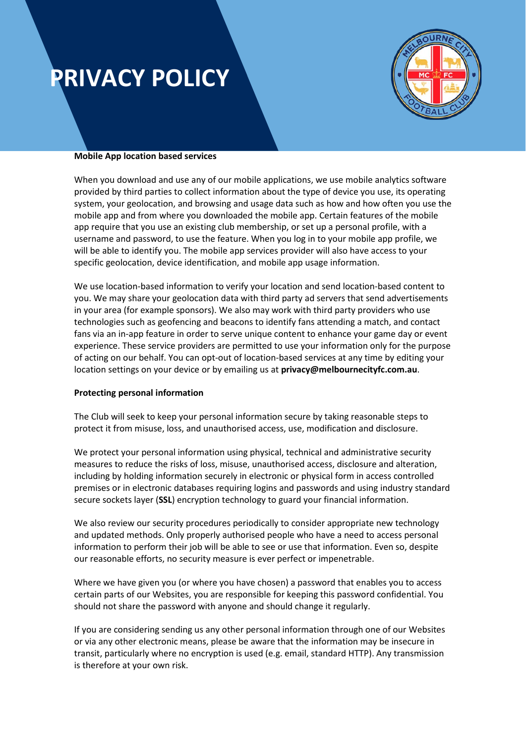

#### **Mobile App location based services**

When you download and use any of our mobile applications, we use mobile analytics software provided by third parties to collect information about the type of device you use, its operating system, your geolocation, and browsing and usage data such as how and how often you use the mobile app and from where you downloaded the mobile app. Certain features of the mobile app require that you use an existing club membership, or set up a personal profile, with a username and password, to use the feature. When you log in to your mobile app profile, we will be able to identify you. The mobile app services provider will also have access to your specific geolocation, device identification, and mobile app usage information.

We use location-based information to verify your location and send location-based content to you. We may share your geolocation data with third party ad servers that send advertisements in your area (for example sponsors). We also may work with third party providers who use technologies such as geofencing and beacons to identify fans attending a match, and contact fans via an in-app feature in order to serve unique content to enhance your game day or event experience. These service providers are permitted to use your information only for the purpose of acting on our behalf. You can opt-out of location-based services at any time by editing your location settings on your device or by emailing us at **privacy@melbournecityfc.com.au**.

#### **Protecting personal information**

The Club will seek to keep your personal information secure by taking reasonable steps to protect it from misuse, loss, and unauthorised access, use, modification and disclosure.

We protect your personal information using physical, technical and administrative security measures to reduce the risks of loss, misuse, unauthorised access, disclosure and alteration, including by holding information securely in electronic or physical form in access controlled premises or in electronic databases requiring logins and passwords and using industry standard secure sockets layer (**SSL**) encryption technology to guard your financial information.

We also review our security procedures periodically to consider appropriate new technology and updated methods. Only properly authorised people who have a need to access personal information to perform their job will be able to see or use that information. Even so, despite our reasonable efforts, no security measure is ever perfect or impenetrable.

Where we have given you (or where you have chosen) a password that enables you to access certain parts of our Websites, you are responsible for keeping this password confidential. You should not share the password with anyone and should change it regularly.

If you are considering sending us any other personal information through one of our Websites or via any other electronic means, please be aware that the information may be insecure in transit, particularly where no encryption is used (e.g. email, standard HTTP). Any transmission is therefore at your own risk.